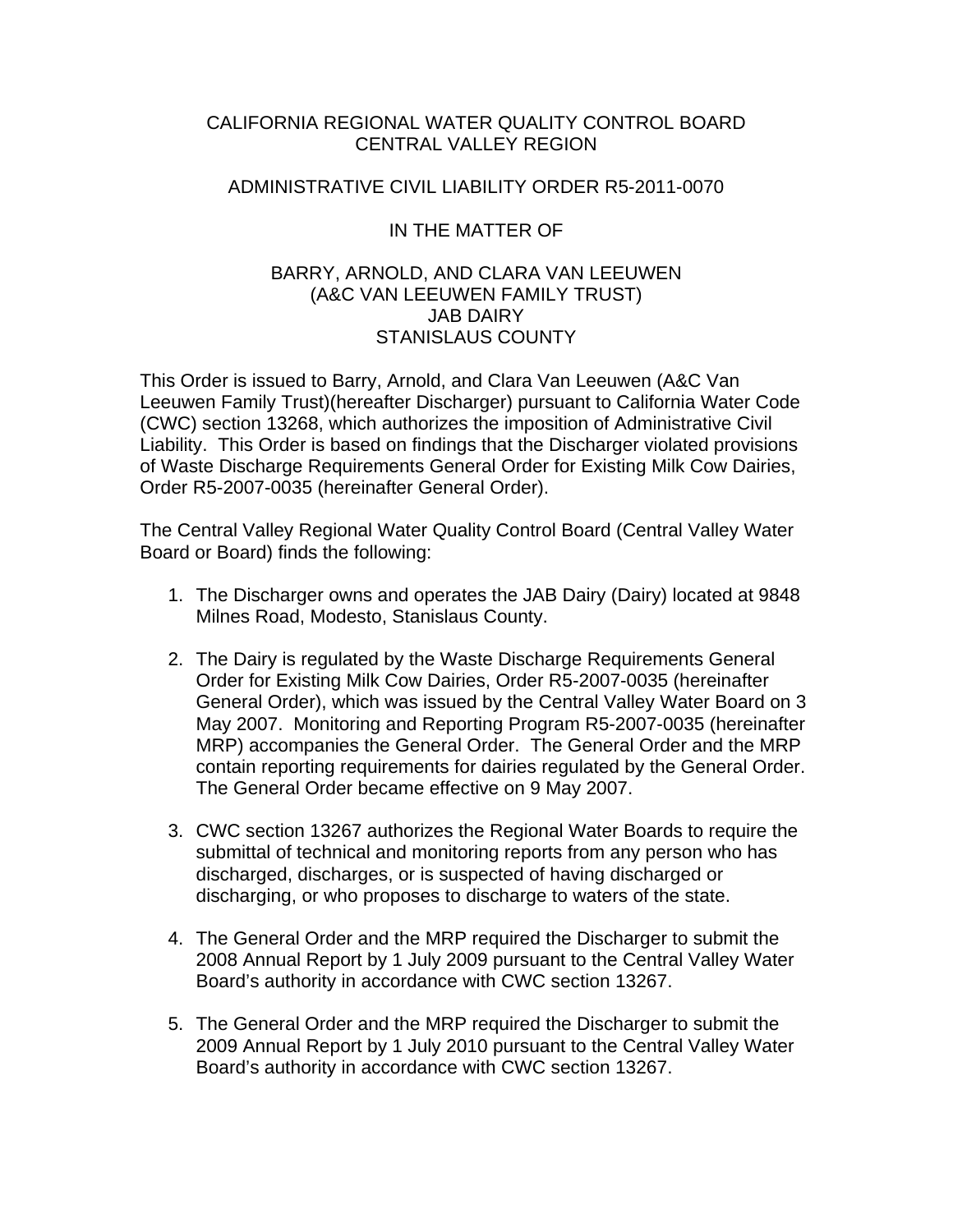## CALIFORNIA REGIONAL WATER QUALITY CONTROL BOARD CENTRAL VALLEY REGION

## ADMINISTRATIVE CIVIL LIABILITY ORDER R5-2011-0070

## IN THE MATTER OF

## BARRY, ARNOLD, AND CLARA VAN LEEUWEN (A&C VAN LEEUWEN FAMILY TRUST) JAB DAIRY STANISLAUS COUNTY

This Order is issued to Barry, Arnold, and Clara Van Leeuwen (A&C Van Leeuwen Family Trust)(hereafter Discharger) pursuant to California Water Code (CWC) section 13268, which authorizes the imposition of Administrative Civil Liability. This Order is based on findings that the Discharger violated provisions of Waste Discharge Requirements General Order for Existing Milk Cow Dairies, Order R5-2007-0035 (hereinafter General Order).

The Central Valley Regional Water Quality Control Board (Central Valley Water Board or Board) finds the following:

- 1. The Discharger owns and operates the JAB Dairy (Dairy) located at 9848 Milnes Road, Modesto, Stanislaus County.
- 2. The Dairy is regulated by the Waste Discharge Requirements General Order for Existing Milk Cow Dairies, Order R5-2007-0035 (hereinafter General Order), which was issued by the Central Valley Water Board on 3 May 2007. Monitoring and Reporting Program R5-2007-0035 (hereinafter MRP) accompanies the General Order. The General Order and the MRP contain reporting requirements for dairies regulated by the General Order. The General Order became effective on 9 May 2007.
- 3. CWC section 13267 authorizes the Regional Water Boards to require the submittal of technical and monitoring reports from any person who has discharged, discharges, or is suspected of having discharged or discharging, or who proposes to discharge to waters of the state.
- 4. The General Order and the MRP required the Discharger to submit the 2008 Annual Report by 1 July 2009 pursuant to the Central Valley Water Board's authority in accordance with CWC section 13267.
- 5. The General Order and the MRP required the Discharger to submit the 2009 Annual Report by 1 July 2010 pursuant to the Central Valley Water Board's authority in accordance with CWC section 13267.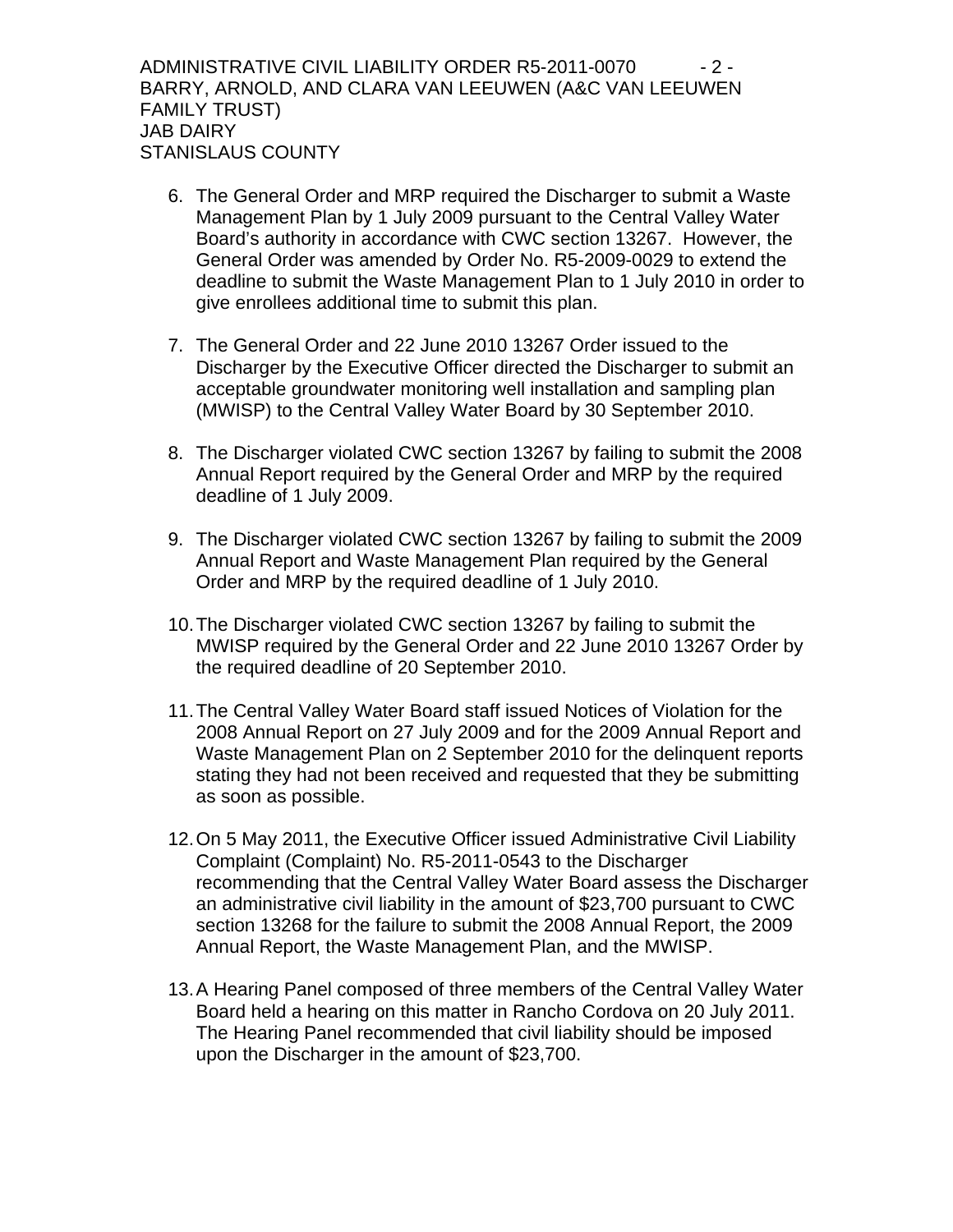ADMINISTRATIVE CIVIL LIABILITY ORDER R5-2011-0070  $\qquad$  - 2 -BARRY, ARNOLD, AND CLARA VAN LEEUWEN (A&C VAN LEEUWEN FAMILY TRUST) JAB DAIRY STANISLAUS COUNTY

- 6. The General Order and MRP required the Discharger to submit a Waste Management Plan by 1 July 2009 pursuant to the Central Valley Water Board's authority in accordance with CWC section 13267. However, the General Order was amended by Order No. R5-2009-0029 to extend the deadline to submit the Waste Management Plan to 1 July 2010 in order to give enrollees additional time to submit this plan.
- 7. The General Order and 22 June 2010 13267 Order issued to the Discharger by the Executive Officer directed the Discharger to submit an acceptable groundwater monitoring well installation and sampling plan (MWISP) to the Central Valley Water Board by 30 September 2010.
- 8. The Discharger violated CWC section 13267 by failing to submit the 2008 Annual Report required by the General Order and MRP by the required deadline of 1 July 2009.
- 9. The Discharger violated CWC section 13267 by failing to submit the 2009 Annual Report and Waste Management Plan required by the General Order and MRP by the required deadline of 1 July 2010.
- 10. The Discharger violated CWC section 13267 by failing to submit the MWISP required by the General Order and 22 June 2010 13267 Order by the required deadline of 20 September 2010.
- 11. The Central Valley Water Board staff issued Notices of Violation for the 2008 Annual Report on 27 July 2009 and for the 2009 Annual Report and Waste Management Plan on 2 September 2010 for the delinquent reports stating they had not been received and requested that they be submitting as soon as possible.
- 12. On 5 May 2011, the Executive Officer issued Administrative Civil Liability Complaint (Complaint) No. R5-2011-0543 to the Discharger recommending that the Central Valley Water Board assess the Discharger an administrative civil liability in the amount of \$23,700 pursuant to CWC section 13268 for the failure to submit the 2008 Annual Report, the 2009 Annual Report, the Waste Management Plan, and the MWISP.
- 13. A Hearing Panel composed of three members of the Central Valley Water Board held a hearing on this matter in Rancho Cordova on 20 July 2011. The Hearing Panel recommended that civil liability should be imposed upon the Discharger in the amount of \$23,700.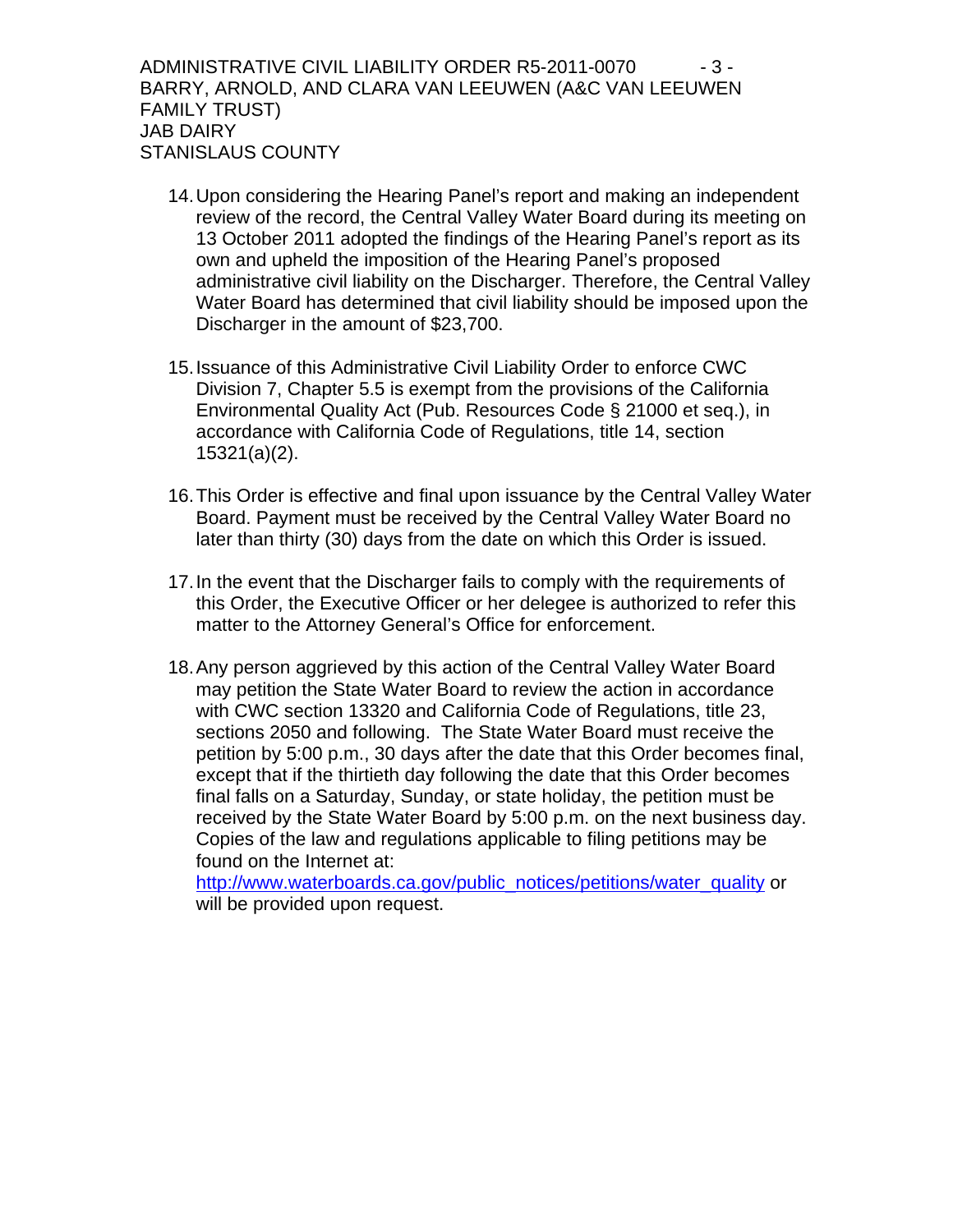ADMINISTRATIVE CIVIL LIABILITY ORDER R5-2011-0070  $\qquad \qquad$  - 3 -BARRY, ARNOLD, AND CLARA VAN LEEUWEN (A&C VAN LEEUWEN FAMILY TRUST) JAB DAIRY STANISLAUS COUNTY

- 14. Upon considering the Hearing Panel's report and making an independent review of the record, the Central Valley Water Board during its meeting on 13 October 2011 adopted the findings of the Hearing Panel's report as its own and upheld the imposition of the Hearing Panel's proposed administrative civil liability on the Discharger. Therefore, the Central Valley Water Board has determined that civil liability should be imposed upon the Discharger in the amount of \$23,700.
- 15. Issuance of this Administrative Civil Liability Order to enforce CWC Division 7, Chapter 5.5 is exempt from the provisions of the California Environmental Quality Act (Pub. Resources Code § 21000 et seq.), in accordance with California Code of Regulations, title 14, section 15321(a)(2).
- 16. This Order is effective and final upon issuance by the Central Valley Water Board. Payment must be received by the Central Valley Water Board no later than thirty (30) days from the date on which this Order is issued.
- 17. In the event that the Discharger fails to comply with the requirements of this Order, the Executive Officer or her delegee is authorized to refer this matter to the Attorney General's Office for enforcement.
- 18. Any person aggrieved by this action of the Central Valley Water Board may petition the State Water Board to review the action in accordance with CWC section 13320 and California Code of Regulations, title 23, sections 2050 and following. The State Water Board must receive the petition by 5:00 p.m., 30 days after the date that this Order becomes final, except that if the thirtieth day following the date that this Order becomes final falls on a Saturday, Sunday, or state holiday, the petition must be received by the State Water Board by 5:00 p.m. on the next business day. Copies of the law and regulations applicable to filing petitions may be found on the Internet at:

[http://www.waterboards.ca.gov/public\\_notices/petitions/water\\_quality](http://www.waterboards.ca.gov/public_notices/petitions/water_quality) or will be provided upon request.